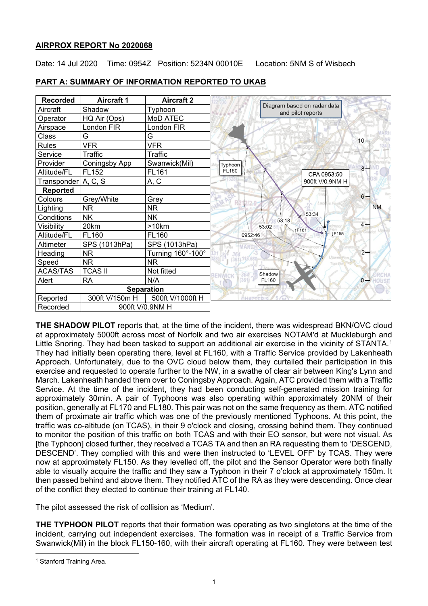## **AIRPROX REPORT No 2020068**

Date: 14 Jul 2020 Time: 0954Z Position: 5234N 00010E Location: 5NM S of Wisbech

| <b>Recorded</b>             | <b>Aircraft 1</b> | <b>Aircraft 2</b> |                                                  |
|-----------------------------|-------------------|-------------------|--------------------------------------------------|
| Aircraft                    | Shadow            | Typhoon           | Diagram based on radar data<br>and pilot reports |
| Operator                    | HQ Air (Ops)      | MoD ATEC          |                                                  |
| Airspace                    | London FIR        | _ondon FIR        |                                                  |
| Class                       | G                 | G                 | $10 -$                                           |
| <b>Rules</b>                | <b>VFR</b>        | <b>VFR</b>        |                                                  |
| Service                     | Traffic           | Traffic           |                                                  |
| Provider                    | Coningsby App     | Swanwick(Mil)     | Typhoon<br>$8-$                                  |
| Altitude/FL                 | FL152             | FL161             | FL160<br>CPA 0953:50                             |
| Transponder                 | A, C, S           | A, C              | 900ft V/0.9NM H                                  |
| <b>Reported</b>             |                   |                   |                                                  |
| Colours                     | Grey/White        | Grey              | $6 -$                                            |
| Lighting                    | <b>NR</b>         | <b>NR</b>         | <b>NM</b>                                        |
| Conditions                  | <b>NK</b>         | <b>NK</b>         | 53:34<br>53:18                                   |
| Visibility                  | 20km              | >10km             | $4-$<br>53:02<br>F161                            |
| Altitude/FL                 | FL160             | FL160             | <b>LF155</b><br>0952:46                          |
| Altimeter                   | SPS (1013hPa)     | SPS (1013hPa)     |                                                  |
| Heading                     | <b>NR</b>         | Turning 160°-100° | $2 -$                                            |
| Speed                       | <b>NR</b>         | NR.               |                                                  |
| <b>ACAS/TAS</b>             | <b>TCAS II</b>    | Not fitted        | Shadow                                           |
| Alert                       | <b>RA</b>         | N/A               | <b>FL160</b><br>$0 -$                            |
| <b>Separation</b>           |                   |                   |                                                  |
| Reported                    | 300ft V/150m H    | 500ft V/1000ft H  |                                                  |
| Recorded<br>900ft V/0.9NM H |                   |                   |                                                  |

## **PART A: SUMMARY OF INFORMATION REPORTED TO UKAB**

**THE SHADOW PILOT** reports that, at the time of the incident, there was widespread BKN/OVC cloud at approximately 5000ft across most of Norfolk and two air exercises NOTAM'd at Muckleburgh and Little Snoring. They had been tasked to support an additional air exercise in the vicinity of STANTA.<sup>[1](#page-0-0)</sup> They had initially been operating there, level at FL160, with a Traffic Service provided by Lakenheath Approach. Unfortunately, due to the OVC cloud below them, they curtailed their participation in this exercise and requested to operate further to the NW, in a swathe of clear air between King's Lynn and March. Lakenheath handed them over to Coningsby Approach. Again, ATC provided them with a Traffic Service. At the time of the incident, they had been conducting self-generated mission training for approximately 30min. A pair of Typhoons was also operating within approximately 20NM of their position, generally at FL170 and FL180. This pair was not on the same frequency as them. ATC notified them of proximate air traffic which was one of the previously mentioned Typhoons. At this point, the traffic was co-altitude (on TCAS), in their 9 o'clock and closing, crossing behind them. They continued to monitor the position of this traffic on both TCAS and with their EO sensor, but were not visual. As [the Typhoon] closed further, they received a TCAS TA and then an RA requesting them to 'DESCEND, DESCEND'. They complied with this and were then instructed to 'LEVEL OFF' by TCAS. They were now at approximately FL150. As they levelled off, the pilot and the Sensor Operator were both finally able to visually acquire the traffic and they saw a Typhoon in their 7 o'clock at approximately 150m. It then passed behind and above them. They notified ATC of the RA as they were descending. Once clear of the conflict they elected to continue their training at FL140.

The pilot assessed the risk of collision as 'Medium'.

**THE TYPHOON PILOT** reports that their formation was operating as two singletons at the time of the incident, carrying out independent exercises. The formation was in receipt of a Traffic Service from Swanwick(Mil) in the block FL150-160, with their aircraft operating at FL160. They were between test

<span id="page-0-0"></span><sup>1</sup> Stanford Training Area.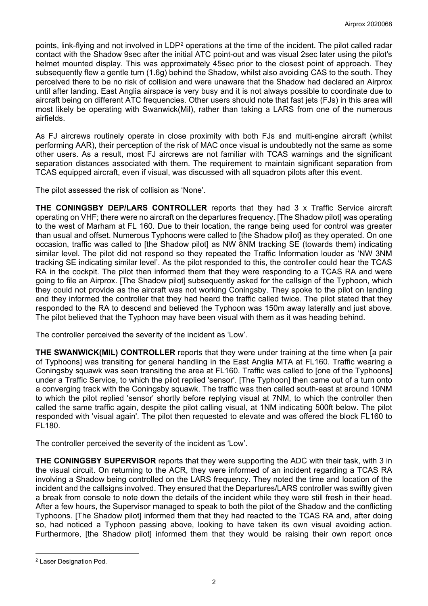points, link-flying and not involved in LDP<sup>[2](#page-1-0)</sup> operations at the time of the incident. The pilot called radar contact with the Shadow 9sec after the initial ATC point-out and was visual 2sec later using the pilot's helmet mounted display. This was approximately 45sec prior to the closest point of approach. They subsequently flew a gentle turn (1.6g) behind the Shadow, whilst also avoiding CAS to the south. They perceived there to be no risk of collision and were unaware that the Shadow had declared an Airprox until after landing. East Anglia airspace is very busy and it is not always possible to coordinate due to aircraft being on different ATC frequencies. Other users should note that fast jets (FJs) in this area will most likely be operating with Swanwick(Mil), rather than taking a LARS from one of the numerous airfields.

As FJ aircrews routinely operate in close proximity with both FJs and multi-engine aircraft (whilst performing AAR), their perception of the risk of MAC once visual is undoubtedly not the same as some other users. As a result, most FJ aircrews are not familiar with TCAS warnings and the significant separation distances associated with them. The requirement to maintain significant separation from TCAS equipped aircraft, even if visual, was discussed with all squadron pilots after this event.

The pilot assessed the risk of collision as 'None'.

**THE CONINGSBY DEP/LARS CONTROLLER** reports that they had 3 x Traffic Service aircraft operating on VHF; there were no aircraft on the departures frequency. [The Shadow pilot] was operating to the west of Marham at FL 160. Due to their location, the range being used for control was greater than usual and offset. Numerous Typhoons were called to [the Shadow pilot] as they operated. On one occasion, traffic was called to [the Shadow pilot] as NW 8NM tracking SE (towards them) indicating similar level. The pilot did not respond so they repeated the Traffic Information louder as 'NW 3NM tracking SE indicating similar level'. As the pilot responded to this, the controller could hear the TCAS RA in the cockpit. The pilot then informed them that they were responding to a TCAS RA and were going to file an Airprox. [The Shadow pilot] subsequently asked for the callsign of the Typhoon, which they could not provide as the aircraft was not working Coningsby. They spoke to the pilot on landing and they informed the controller that they had heard the traffic called twice. The pilot stated that they responded to the RA to descend and believed the Typhoon was 150m away laterally and just above. The pilot believed that the Typhoon may have been visual with them as it was heading behind.

The controller perceived the severity of the incident as 'Low'.

**THE SWANWICK(MIL) CONTROLLER** reports that they were under training at the time when [a pair of Typhoons] was transiting for general handling in the East Anglia MTA at FL160. Traffic wearing a Coningsby squawk was seen transiting the area at FL160. Traffic was called to [one of the Typhoons] under a Traffic Service, to which the pilot replied 'sensor'. [The Typhoon] then came out of a turn onto a converging track with the Coningsby squawk. The traffic was then called south-east at around 10NM to which the pilot replied 'sensor' shortly before replying visual at 7NM, to which the controller then called the same traffic again, despite the pilot calling visual, at 1NM indicating 500ft below. The pilot responded with 'visual again'. The pilot then requested to elevate and was offered the block FL160 to FL180.

The controller perceived the severity of the incident as 'Low'.

**THE CONINGSBY SUPERVISOR** reports that they were supporting the ADC with their task, with 3 in the visual circuit. On returning to the ACR, they were informed of an incident regarding a TCAS RA involving a Shadow being controlled on the LARS frequency. They noted the time and location of the incident and the callsigns involved. They ensured that the Departures/LARS controller was swiftly given a break from console to note down the details of the incident while they were still fresh in their head. After a few hours, the Supervisor managed to speak to both the pilot of the Shadow and the conflicting Typhoons. [The Shadow pilot] informed them that they had reacted to the TCAS RA and, after doing so, had noticed a Typhoon passing above, looking to have taken its own visual avoiding action. Furthermore, [the Shadow pilot] informed them that they would be raising their own report once

<span id="page-1-0"></span><sup>2</sup> Laser Designation Pod.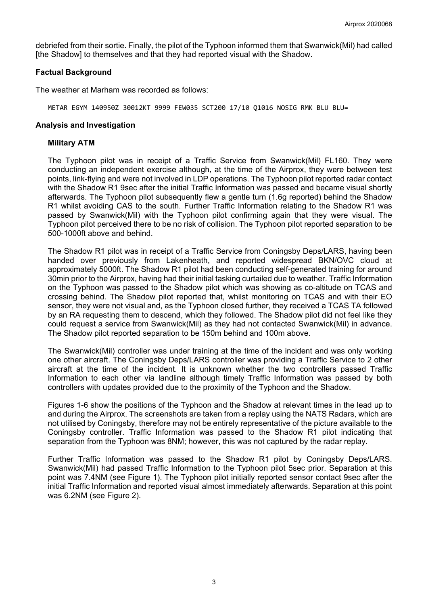debriefed from their sortie. Finally, the pilot of the Typhoon informed them that Swanwick(Mil) had called [the Shadow] to themselves and that they had reported visual with the Shadow.

#### **Factual Background**

The weather at Marham was recorded as follows:

METAR EGYM 140950Z 30012KT 9999 FEW035 SCT200 17/10 Q1016 NOSIG RMK BLU BLU=

#### **Analysis and Investigation**

#### **Military ATM**

The Typhoon pilot was in receipt of a Traffic Service from Swanwick(Mil) FL160. They were conducting an independent exercise although, at the time of the Airprox, they were between test points, link-flying and were not involved in LDP operations. The Typhoon pilot reported radar contact with the Shadow R1 9sec after the initial Traffic Information was passed and became visual shortly afterwards. The Typhoon pilot subsequently flew a gentle turn (1.6g reported) behind the Shadow R1 whilst avoiding CAS to the south. Further Traffic Information relating to the Shadow R1 was passed by Swanwick(Mil) with the Typhoon pilot confirming again that they were visual. The Typhoon pilot perceived there to be no risk of collision. The Typhoon pilot reported separation to be 500-1000ft above and behind.

The Shadow R1 pilot was in receipt of a Traffic Service from Coningsby Deps/LARS, having been handed over previously from Lakenheath, and reported widespread BKN/OVC cloud at approximately 5000ft. The Shadow R1 pilot had been conducting self-generated training for around 30min prior to the Airprox, having had their initial tasking curtailed due to weather. Traffic Information on the Typhoon was passed to the Shadow pilot which was showing as co-altitude on TCAS and crossing behind. The Shadow pilot reported that, whilst monitoring on TCAS and with their EO sensor, they were not visual and, as the Typhoon closed further, they received a TCAS TA followed by an RA requesting them to descend, which they followed. The Shadow pilot did not feel like they could request a service from Swanwick(Mil) as they had not contacted Swanwick(Mil) in advance. The Shadow pilot reported separation to be 150m behind and 100m above.

The Swanwick(Mil) controller was under training at the time of the incident and was only working one other aircraft. The Coningsby Deps/LARS controller was providing a Traffic Service to 2 other aircraft at the time of the incident. It is unknown whether the two controllers passed Traffic Information to each other via landline although timely Traffic Information was passed by both controllers with updates provided due to the proximity of the Typhoon and the Shadow.

Figures 1-6 show the positions of the Typhoon and the Shadow at relevant times in the lead up to and during the Airprox. The screenshots are taken from a replay using the NATS Radars, which are not utilised by Coningsby, therefore may not be entirely representative of the picture available to the Coningsby controller. Traffic Information was passed to the Shadow R1 pilot indicating that separation from the Typhoon was 8NM; however, this was not captured by the radar replay.

Further Traffic Information was passed to the Shadow R1 pilot by Coningsby Deps/LARS. Swanwick(Mil) had passed Traffic Information to the Typhoon pilot 5sec prior. Separation at this point was 7.4NM (see Figure 1). The Typhoon pilot initially reported sensor contact 9sec after the initial Traffic Information and reported visual almost immediately afterwards. Separation at this point was 6.2NM (see Figure 2).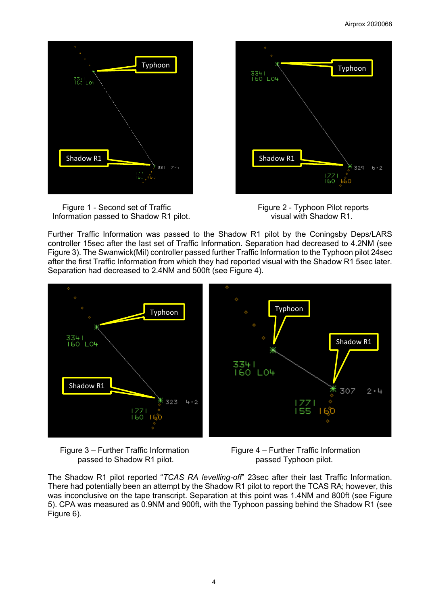

Figure 1 - Second set of Traffic Figure 2 - Typhoon Pilot reports Information passed to Shadow R1 pilot.



Further Traffic Information was passed to the Shadow R1 pilot by the Coningsby Deps/LARS controller 15sec after the last set of Traffic Information. Separation had decreased to 4.2NM (see Figure 3). The Swanwick(Mil) controller passed further Traffic Information to the Typhoon pilot 24sec after the first Traffic Information from which they had reported visual with the Shadow R1 5sec later. Separation had decreased to 2.4NM and 500ft (see Figure 4).



Figure 3 – Further Traffic Information Figure 4 – Further Traffic Information passed to Shadow R1 pilot. **passed Typhoon pilot.** 

The Shadow R1 pilot reported "*TCAS RA levelling-off*" 23sec after their last Traffic Information. There had potentially been an attempt by the Shadow R1 pilot to report the TCAS RA; however, this was inconclusive on the tape transcript. Separation at this point was 1.4NM and 800ft (see Figure 5). CPA was measured as 0.9NM and 900ft, with the Typhoon passing behind the Shadow R1 (see Figure 6).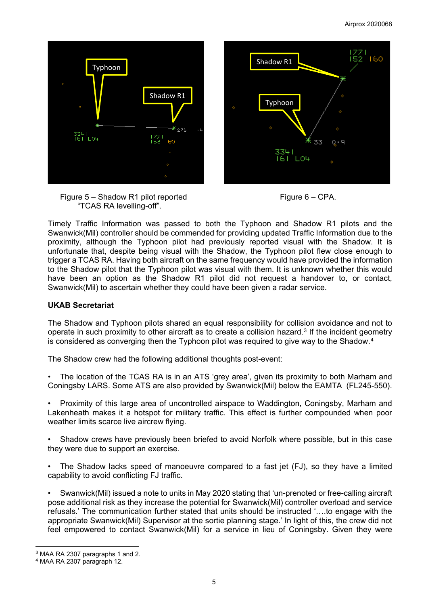

Figure 5 – Shadow R1 pilot reported Figure 6 – CPA. "TCAS RA levelling-off".

Timely Traffic Information was passed to both the Typhoon and Shadow R1 pilots and the Swanwick(Mil) controller should be commended for providing updated Traffic Information due to the proximity, although the Typhoon pilot had previously reported visual with the Shadow. It is unfortunate that, despite being visual with the Shadow, the Typhoon pilot flew close enough to trigger a TCAS RA. Having both aircraft on the same frequency would have provided the information to the Shadow pilot that the Typhoon pilot was visual with them. It is unknown whether this would have been an option as the Shadow R1 pilot did not request a handover to, or contact, Swanwick(Mil) to ascertain whether they could have been given a radar service.

# **UKAB Secretariat**

The Shadow and Typhoon pilots shared an equal responsibility for collision avoidance and not to operate in such proximity to other aircraft as to create a collision hazard.<sup>[3](#page-4-0)</sup> If the incident geometry is considered as converging then the Typhoon pilot was required to give way to the Shadow.<sup>[4](#page-4-1)</sup>

The Shadow crew had the following additional thoughts post-event:

The location of the TCAS RA is in an ATS 'grey area', given its proximity to both Marham and Coningsby LARS. Some ATS are also provided by Swanwick(Mil) below the EAMTA (FL245-550).

• Proximity of this large area of uncontrolled airspace to Waddington, Coningsby, Marham and Lakenheath makes it a hotspot for military traffic. This effect is further compounded when poor weather limits scarce live aircrew flying.

• Shadow crews have previously been briefed to avoid Norfolk where possible, but in this case they were due to support an exercise.

• The Shadow lacks speed of manoeuvre compared to a fast jet (FJ), so they have a limited capability to avoid conflicting FJ traffic.

• Swanwick(Mil) issued a note to units in May 2020 stating that 'un-prenoted or free-calling aircraft pose additional risk as they increase the potential for Swanwick(Mil) controller overload and service refusals.' The communication further stated that units should be instructed '….to engage with the appropriate Swanwick(Mil) Supervisor at the sortie planning stage.' In light of this, the crew did not feel empowered to contact Swanwick(Mil) for a service in lieu of Coningsby. Given they were

<span id="page-4-0"></span><sup>3</sup> MAA RA 2307 paragraphs 1 and 2.

<span id="page-4-1"></span><sup>4</sup> MAA RA 2307 paragraph 12.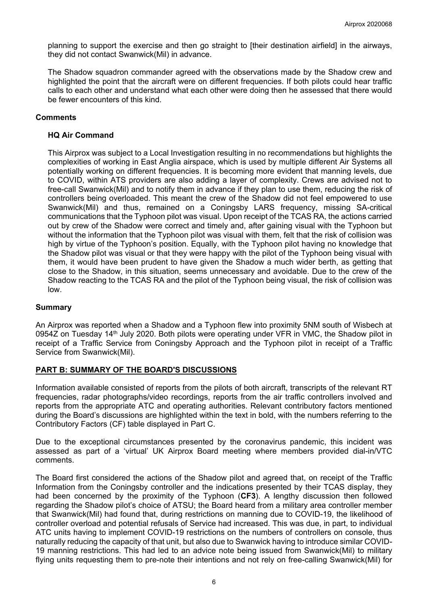planning to support the exercise and then go straight to [their destination airfield] in the airways, they did not contact Swanwick(Mil) in advance.

The Shadow squadron commander agreed with the observations made by the Shadow crew and highlighted the point that the aircraft were on different frequencies. If both pilots could hear traffic calls to each other and understand what each other were doing then he assessed that there would be fewer encounters of this kind.

## **Comments**

## **HQ Air Command**

This Airprox was subject to a Local Investigation resulting in no recommendations but highlights the complexities of working in East Anglia airspace, which is used by multiple different Air Systems all potentially working on different frequencies. It is becoming more evident that manning levels, due to COVID, within ATS providers are also adding a layer of complexity. Crews are advised not to free-call Swanwick(Mil) and to notify them in advance if they plan to use them, reducing the risk of controllers being overloaded. This meant the crew of the Shadow did not feel empowered to use Swanwick(Mil) and thus, remained on a Coningsby LARS frequency, missing SA-critical communications that the Typhoon pilot was visual. Upon receipt of the TCAS RA, the actions carried out by crew of the Shadow were correct and timely and, after gaining visual with the Typhoon but without the information that the Typhoon pilot was visual with them, felt that the risk of collision was high by virtue of the Typhoon's position. Equally, with the Typhoon pilot having no knowledge that the Shadow pilot was visual or that they were happy with the pilot of the Typhoon being visual with them, it would have been prudent to have given the Shadow a much wider berth, as getting that close to the Shadow, in this situation, seems unnecessary and avoidable. Due to the crew of the Shadow reacting to the TCAS RA and the pilot of the Typhoon being visual, the risk of collision was low.

## **Summary**

An Airprox was reported when a Shadow and a Typhoon flew into proximity 5NM south of Wisbech at 0954Z on Tuesday 14<sup>th</sup> July 2020. Both pilots were operating under VFR in VMC, the Shadow pilot in receipt of a Traffic Service from Coningsby Approach and the Typhoon pilot in receipt of a Traffic Service from Swanwick(Mil).

## **PART B: SUMMARY OF THE BOARD'S DISCUSSIONS**

Information available consisted of reports from the pilots of both aircraft, transcripts of the relevant RT frequencies, radar photographs/video recordings, reports from the air traffic controllers involved and reports from the appropriate ATC and operating authorities. Relevant contributory factors mentioned during the Board's discussions are highlighted within the text in bold, with the numbers referring to the Contributory Factors (CF) table displayed in Part C.

Due to the exceptional circumstances presented by the coronavirus pandemic, this incident was assessed as part of a 'virtual' UK Airprox Board meeting where members provided dial-in/VTC comments.

The Board first considered the actions of the Shadow pilot and agreed that, on receipt of the Traffic Information from the Coningsby controller and the indications presented by their TCAS display, they had been concerned by the proximity of the Typhoon (**CF3**). A lengthy discussion then followed regarding the Shadow pilot's choice of ATSU; the Board heard from a military area controller member that Swanwick(Mil) had found that, during restrictions on manning due to COVID-19, the likelihood of controller overload and potential refusals of Service had increased. This was due, in part, to individual ATC units having to implement COVID-19 restrictions on the numbers of controllers on console, thus naturally reducing the capacity of that unit, but also due to Swanwick having to introduce similar COVID-19 manning restrictions. This had led to an advice note being issued from Swanwick(Mil) to military flying units requesting them to pre-note their intentions and not rely on free-calling Swanwick(Mil) for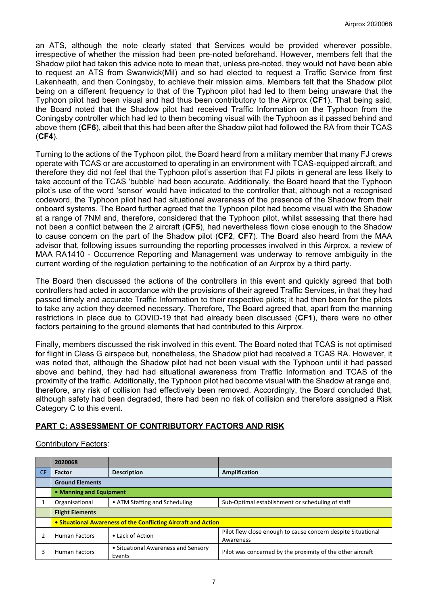an ATS, although the note clearly stated that Services would be provided wherever possible, irrespective of whether the mission had been pre-noted beforehand. However, members felt that the Shadow pilot had taken this advice note to mean that, unless pre-noted, they would not have been able to request an ATS from Swanwick(Mil) and so had elected to request a Traffic Service from first Lakenheath, and then Coningsby, to achieve their mission aims. Members felt that the Shadow pilot being on a different frequency to that of the Typhoon pilot had led to them being unaware that the Typhoon pilot had been visual and had thus been contributory to the Airprox (**CF1**). That being said, the Board noted that the Shadow pilot had received Traffic Information on the Typhoon from the Coningsby controller which had led to them becoming visual with the Typhoon as it passed behind and above them (**CF6**), albeit that this had been after the Shadow pilot had followed the RA from their TCAS (**CF4**).

Turning to the actions of the Typhoon pilot, the Board heard from a military member that many FJ crews operate with TCAS or are accustomed to operating in an environment with TCAS-equipped aircraft, and therefore they did not feel that the Typhoon pilot's assertion that FJ pilots in general are less likely to take account of the TCAS 'bubble' had been accurate. Additionally, the Board heard that the Typhoon pilot's use of the word 'sensor' would have indicated to the controller that, although not a recognised codeword, the Typhoon pilot had had situational awareness of the presence of the Shadow from their onboard systems. The Board further agreed that the Typhoon pilot had become visual with the Shadow at a range of 7NM and, therefore, considered that the Typhoon pilot, whilst assessing that there had not been a conflict between the 2 aircraft (**CF5**), had nevertheless flown close enough to the Shadow to cause concern on the part of the Shadow pilot (**CF2**, **CF7**). The Board also heard from the MAA advisor that, following issues surrounding the reporting processes involved in this Airprox, a review of MAA RA1410 - Occurrence Reporting and Management was underway to remove ambiguity in the current wording of the regulation pertaining to the notification of an Airprox by a third party.

The Board then discussed the actions of the controllers in this event and quickly agreed that both controllers had acted in accordance with the provisions of their agreed Traffic Services, in that they had passed timely and accurate Traffic Information to their respective pilots; it had then been for the pilots to take any action they deemed necessary. Therefore, The Board agreed that, apart from the manning restrictions in place due to COVID-19 that had already been discussed (**CF1**), there were no other factors pertaining to the ground elements that had contributed to this Airprox.

Finally, members discussed the risk involved in this event. The Board noted that TCAS is not optimised for flight in Class G airspace but, nonetheless, the Shadow pilot had received a TCAS RA. However, it was noted that, although the Shadow pilot had not been visual with the Typhoon until it had passed above and behind, they had had situational awareness from Traffic Information and TCAS of the proximity of the traffic. Additionally, the Typhoon pilot had become visual with the Shadow at range and, therefore, any risk of collision had effectively been removed. Accordingly, the Board concluded that, although safety had been degraded, there had been no risk of collision and therefore assigned a Risk Category C to this event.

# **PART C: ASSESSMENT OF CONTRIBUTORY FACTORS AND RISK**

## Contributory Factors:

|           | 2020068                                                        |                                               |                                                                           |  |  |  |  |
|-----------|----------------------------------------------------------------|-----------------------------------------------|---------------------------------------------------------------------------|--|--|--|--|
| <b>CF</b> | <b>Factor</b>                                                  | <b>Description</b>                            | Amplification                                                             |  |  |  |  |
|           | <b>Ground Elements</b>                                         |                                               |                                                                           |  |  |  |  |
|           | • Manning and Equipment                                        |                                               |                                                                           |  |  |  |  |
|           | Organisational                                                 | • ATM Staffing and Scheduling                 | Sub-Optimal establishment or scheduling of staff                          |  |  |  |  |
|           | <b>Flight Elements</b>                                         |                                               |                                                                           |  |  |  |  |
|           | • Situational Awareness of the Conflicting Aircraft and Action |                                               |                                                                           |  |  |  |  |
|           | <b>Human Factors</b>                                           | • Lack of Action                              | Pilot flew close enough to cause concern despite Situational<br>Awareness |  |  |  |  |
|           | <b>Human Factors</b>                                           | • Situational Awareness and Sensory<br>Events | Pilot was concerned by the proximity of the other aircraft                |  |  |  |  |